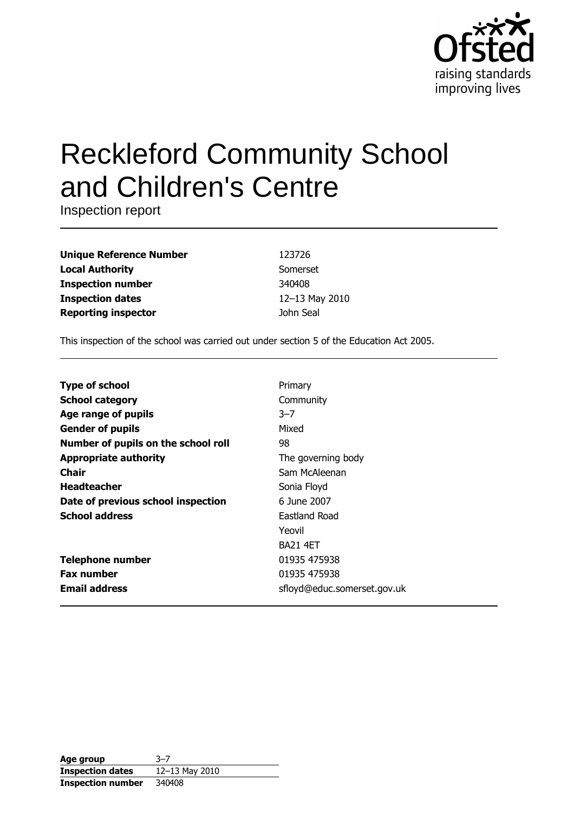

# **Reckleford Community School** and Children's Centre

Inspection report

**Unique Reference Number Local Authority Inspection number Inspection dates Reporting inspector** 

123726 Somerset 340408 12-13 May 2010 John Seal

This inspection of the school was carried out under section 5 of the Education Act 2005.

| <b>Type of school</b>               | Primary                     |
|-------------------------------------|-----------------------------|
| <b>School category</b>              | Community                   |
| Age range of pupils                 | $3 - 7$                     |
| <b>Gender of pupils</b>             | Mixed                       |
| Number of pupils on the school roll | 98                          |
| <b>Appropriate authority</b>        | The governing body          |
| Chair                               | Sam McAleenan               |
| <b>Headteacher</b>                  | Sonia Floyd                 |
| Date of previous school inspection  | 6 June 2007                 |
| <b>School address</b>               | Eastland Road               |
|                                     | Yeovil                      |
|                                     | <b>BA21 4FT</b>             |
| <b>Telephone number</b>             | 01935 475938                |
| <b>Fax number</b>                   | 01935 475938                |
| <b>Email address</b>                | sfloyd@educ.somerset.gov.uk |

| Age group                | $3 - 7$            |
|--------------------------|--------------------|
| <b>Inspection dates</b>  | $12 - 13$ May 2010 |
| <b>Inspection number</b> | 340408             |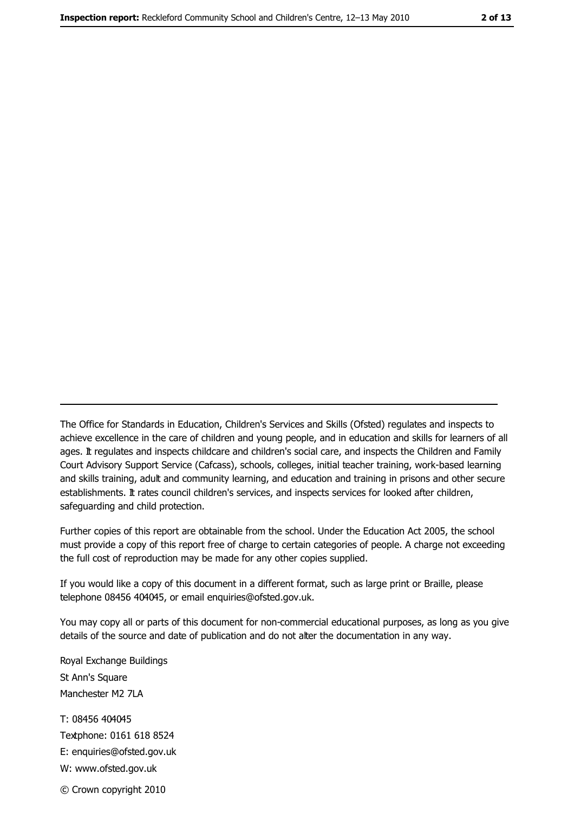The Office for Standards in Education, Children's Services and Skills (Ofsted) regulates and inspects to achieve excellence in the care of children and young people, and in education and skills for learners of all ages. It regulates and inspects childcare and children's social care, and inspects the Children and Family Court Advisory Support Service (Cafcass), schools, colleges, initial teacher training, work-based learning and skills training, adult and community learning, and education and training in prisons and other secure establishments. It rates council children's services, and inspects services for looked after children, safequarding and child protection.

Further copies of this report are obtainable from the school. Under the Education Act 2005, the school must provide a copy of this report free of charge to certain categories of people. A charge not exceeding the full cost of reproduction may be made for any other copies supplied.

If you would like a copy of this document in a different format, such as large print or Braille, please telephone 08456 404045, or email enquiries@ofsted.gov.uk.

You may copy all or parts of this document for non-commercial educational purposes, as long as you give details of the source and date of publication and do not alter the documentation in any way.

Royal Exchange Buildings St Ann's Square Manchester M2 7LA T: 08456 404045 Textphone: 0161 618 8524 E: enquiries@ofsted.gov.uk W: www.ofsted.gov.uk

© Crown copyright 2010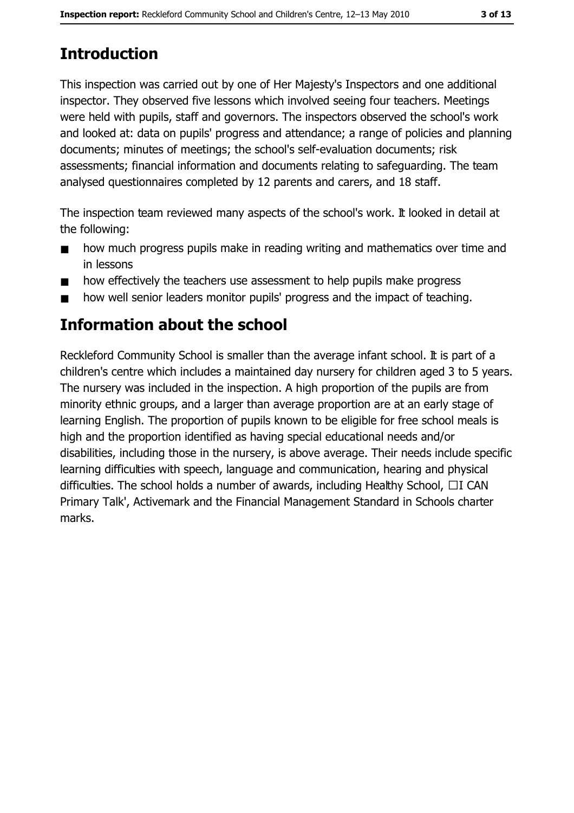# **Introduction**

This inspection was carried out by one of Her Majesty's Inspectors and one additional inspector. They observed five lessons which involved seeing four teachers. Meetings were held with pupils, staff and governors. The inspectors observed the school's work and looked at: data on pupils' progress and attendance; a range of policies and planning documents; minutes of meetings; the school's self-evaluation documents; risk assessments; financial information and documents relating to safeguarding. The team analysed questionnaires completed by 12 parents and carers, and 18 staff.

The inspection team reviewed many aspects of the school's work. It looked in detail at the following:

- how much progress pupils make in reading writing and mathematics over time and  $\blacksquare$ in lessons
- how effectively the teachers use assessment to help pupils make progress  $\blacksquare$
- how well senior leaders monitor pupils' progress and the impact of teaching.

# **Information about the school**

Reckleford Community School is smaller than the average infant school. It is part of a children's centre which includes a maintained day nursery for children aged 3 to 5 years. The nursery was included in the inspection. A high proportion of the pupils are from minority ethnic groups, and a larger than average proportion are at an early stage of learning English. The proportion of pupils known to be eligible for free school meals is high and the proportion identified as having special educational needs and/or disabilities, including those in the nursery, is above average. Their needs include specific learning difficulties with speech, language and communication, hearing and physical difficulties. The school holds a number of awards, including Healthy School,  $\Box$ I CAN Primary Talk', Activemark and the Financial Management Standard in Schools charter marks.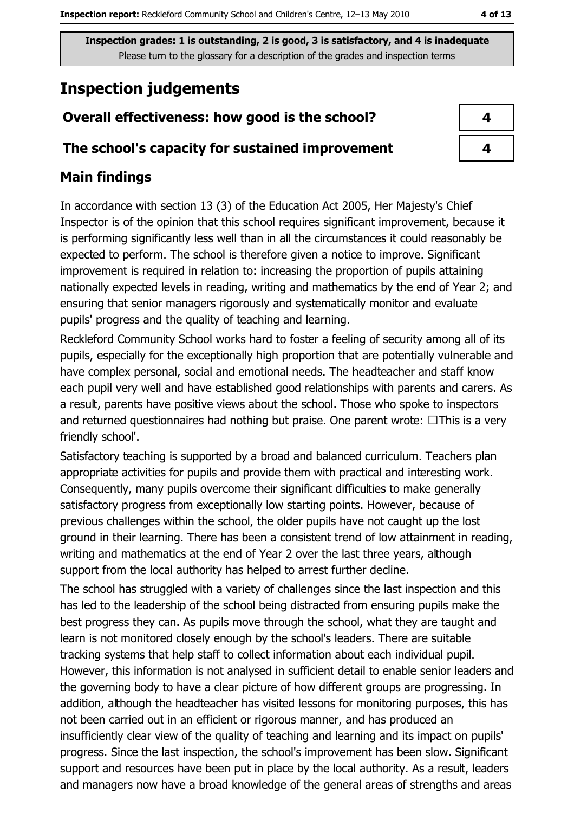# **Inspection judgements**

# Overall effectiveness: how good is the school?

## The school's capacity for sustained improvement

# **Main findings**

In accordance with section 13 (3) of the Education Act 2005, Her Majesty's Chief Inspector is of the opinion that this school requires significant improvement, because it is performing significantly less well than in all the circumstances it could reasonably be expected to perform. The school is therefore given a notice to improve. Significant improvement is required in relation to: increasing the proportion of pupils attaining nationally expected levels in reading, writing and mathematics by the end of Year 2; and ensuring that senior managers rigorously and systematically monitor and evaluate pupils' progress and the quality of teaching and learning.

Reckleford Community School works hard to foster a feeling of security among all of its pupils, especially for the exceptionally high proportion that are potentially vulnerable and have complex personal, social and emotional needs. The headteacher and staff know each pupil very well and have established good relationships with parents and carers. As a result, parents have positive views about the school. Those who spoke to inspectors and returned questionnaires had nothing but praise. One parent wrote:  $\Box$ This is a very friendly school'.

Satisfactory teaching is supported by a broad and balanced curriculum. Teachers plan appropriate activities for pupils and provide them with practical and interesting work. Consequently, many pupils overcome their significant difficulties to make generally satisfactory progress from exceptionally low starting points. However, because of previous challenges within the school, the older pupils have not caught up the lost ground in their learning. There has been a consistent trend of low attainment in reading, writing and mathematics at the end of Year 2 over the last three years, although support from the local authority has helped to arrest further decline.

The school has struggled with a variety of challenges since the last inspection and this has led to the leadership of the school being distracted from ensuring pupils make the best progress they can. As pupils move through the school, what they are taught and learn is not monitored closely enough by the school's leaders. There are suitable tracking systems that help staff to collect information about each individual pupil. However, this information is not analysed in sufficient detail to enable senior leaders and the governing body to have a clear picture of how different groups are progressing. In addition, although the headteacher has visited lessons for monitoring purposes, this has not been carried out in an efficient or rigorous manner, and has produced an insufficiently clear view of the quality of teaching and learning and its impact on pupils' progress. Since the last inspection, the school's improvement has been slow. Significant support and resources have been put in place by the local authority. As a result, leaders and managers now have a broad knowledge of the general areas of strengths and areas

| 4 |  |
|---|--|
| 4 |  |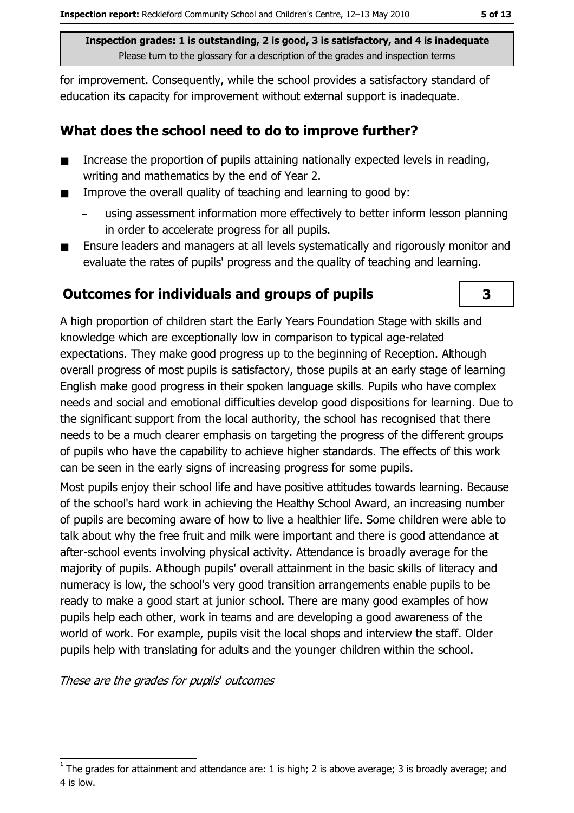for improvement. Consequently, while the school provides a satisfactory standard of education its capacity for improvement without external support is inadequate.

# What does the school need to do to improve further?

- Increase the proportion of pupils attaining nationally expected levels in reading,  $\blacksquare$ writing and mathematics by the end of Year 2.
- Improve the overall quality of teaching and learning to good by:  $\blacksquare$ 
	- using assessment information more effectively to better inform lesson planning in order to accelerate progress for all pupils.
- Ensure leaders and managers at all levels systematically and rigorously monitor and evaluate the rates of pupils' progress and the quality of teaching and learning.

# **Outcomes for individuals and groups of pupils**

A high proportion of children start the Early Years Foundation Stage with skills and knowledge which are exceptionally low in comparison to typical age-related expectations. They make good progress up to the beginning of Reception. Although overall progress of most pupils is satisfactory, those pupils at an early stage of learning English make good progress in their spoken language skills. Pupils who have complex needs and social and emotional difficulties develop good dispositions for learning. Due to the significant support from the local authority, the school has recognised that there needs to be a much clearer emphasis on targeting the progress of the different groups of pupils who have the capability to achieve higher standards. The effects of this work can be seen in the early signs of increasing progress for some pupils.

Most pupils enjoy their school life and have positive attitudes towards learning. Because of the school's hard work in achieving the Healthy School Award, an increasing number of pupils are becoming aware of how to live a healthier life. Some children were able to talk about why the free fruit and milk were important and there is good attendance at after-school events involving physical activity. Attendance is broadly average for the majority of pupils. Although pupils' overall attainment in the basic skills of literacy and numeracy is low, the school's very good transition arrangements enable pupils to be ready to make a good start at junior school. There are many good examples of how pupils help each other, work in teams and are developing a good awareness of the world of work. For example, pupils visit the local shops and interview the staff. Older pupils help with translating for adults and the younger children within the school.

These are the grades for pupils' outcomes

 $\overline{\mathbf{3}}$ 

The grades for attainment and attendance are: 1 is high; 2 is above average; 3 is broadly average; and 4 is low.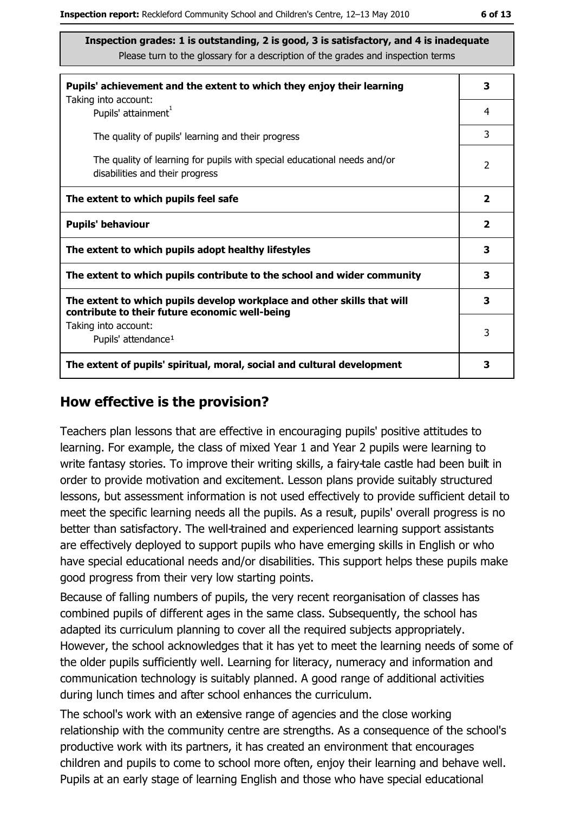| Pupils' achievement and the extent to which they enjoy their learning                                                     | 3                       |
|---------------------------------------------------------------------------------------------------------------------------|-------------------------|
| Taking into account:<br>Pupils' attainment <sup>1</sup>                                                                   | 4                       |
| The quality of pupils' learning and their progress                                                                        | 3                       |
| The quality of learning for pupils with special educational needs and/or<br>disabilities and their progress               | $\mathcal{P}$           |
| The extent to which pupils feel safe                                                                                      | $\overline{\mathbf{2}}$ |
| <b>Pupils' behaviour</b>                                                                                                  | $\mathbf{2}$            |
| The extent to which pupils adopt healthy lifestyles                                                                       | 3                       |
| The extent to which pupils contribute to the school and wider community                                                   |                         |
| The extent to which pupils develop workplace and other skills that will<br>contribute to their future economic well-being | 3                       |
| Taking into account:<br>Pupils' attendance <sup>1</sup>                                                                   | 3                       |
| The extent of pupils' spiritual, moral, social and cultural development                                                   | 3                       |

#### How effective is the provision?

Teachers plan lessons that are effective in encouraging pupils' positive attitudes to learning. For example, the class of mixed Year 1 and Year 2 pupils were learning to write fantasy stories. To improve their writing skills, a fairy-tale castle had been built in order to provide motivation and excitement. Lesson plans provide suitably structured lessons, but assessment information is not used effectively to provide sufficient detail to meet the specific learning needs all the pupils. As a result, pupils' overall progress is no better than satisfactory. The well-trained and experienced learning support assistants are effectively deployed to support pupils who have emerging skills in English or who have special educational needs and/or disabilities. This support helps these pupils make good progress from their very low starting points.

Because of falling numbers of pupils, the very recent reorganisation of classes has combined pupils of different ages in the same class. Subsequently, the school has adapted its curriculum planning to cover all the required subjects appropriately. However, the school acknowledges that it has yet to meet the learning needs of some of the older pupils sufficiently well. Learning for literacy, numeracy and information and communication technology is suitably planned. A good range of additional activities during lunch times and after school enhances the curriculum.

The school's work with an extensive range of agencies and the close working relationship with the community centre are strengths. As a consequence of the school's productive work with its partners, it has created an environment that encourages children and pupils to come to school more often, enjoy their learning and behave well. Pupils at an early stage of learning English and those who have special educational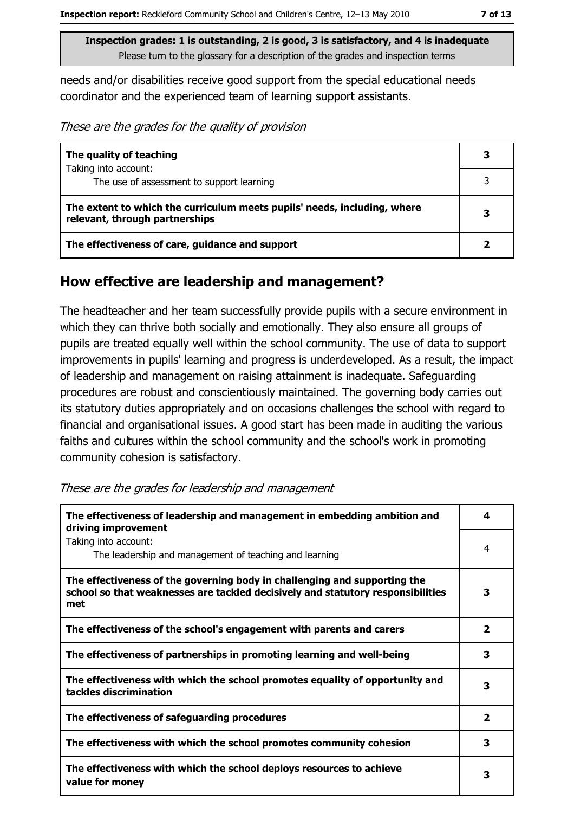needs and/or disabilities receive good support from the special educational needs coordinator and the experienced team of learning support assistants.

These are the grades for the quality of provision

| The quality of teaching                                                                                    | 3 |
|------------------------------------------------------------------------------------------------------------|---|
| Taking into account:<br>The use of assessment to support learning                                          |   |
|                                                                                                            |   |
| The extent to which the curriculum meets pupils' needs, including, where<br>relevant, through partnerships | 3 |
| The effectiveness of care, guidance and support                                                            |   |

#### How effective are leadership and management?

The headteacher and her team successfully provide pupils with a secure environment in which they can thrive both socially and emotionally. They also ensure all groups of pupils are treated equally well within the school community. The use of data to support improvements in pupils' learning and progress is underdeveloped. As a result, the impact of leadership and management on raising attainment is inadequate. Safeguarding procedures are robust and conscientiously maintained. The governing body carries out its statutory duties appropriately and on occasions challenges the school with regard to financial and organisational issues. A good start has been made in auditing the various faiths and cultures within the school community and the school's work in promoting community cohesion is satisfactory.

| These are the grades for leadership and management |  |
|----------------------------------------------------|--|
|----------------------------------------------------|--|

| The effectiveness of leadership and management in embedding ambition and<br>driving improvement                                                                     | 4                       |
|---------------------------------------------------------------------------------------------------------------------------------------------------------------------|-------------------------|
| Taking into account:<br>The leadership and management of teaching and learning                                                                                      | 4                       |
| The effectiveness of the governing body in challenging and supporting the<br>school so that weaknesses are tackled decisively and statutory responsibilities<br>met | З                       |
| The effectiveness of the school's engagement with parents and carers                                                                                                | $\overline{\mathbf{2}}$ |
| The effectiveness of partnerships in promoting learning and well-being                                                                                              | з                       |
| The effectiveness with which the school promotes equality of opportunity and<br>tackles discrimination                                                              | 3                       |
| The effectiveness of safeguarding procedures                                                                                                                        | $\overline{\mathbf{2}}$ |
| The effectiveness with which the school promotes community cohesion                                                                                                 | 3                       |
| The effectiveness with which the school deploys resources to achieve<br>value for money                                                                             | 3                       |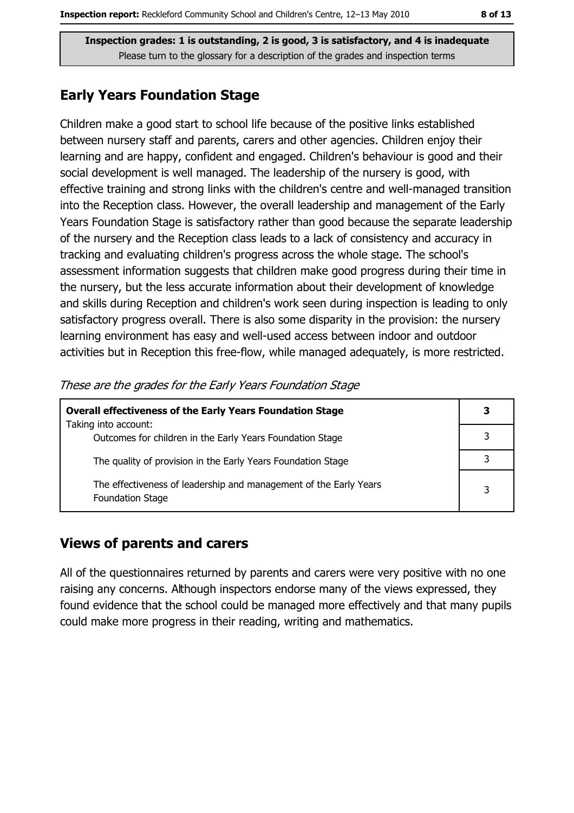## **Early Years Foundation Stage**

Children make a good start to school life because of the positive links established between nursery staff and parents, carers and other agencies. Children enjoy their learning and are happy, confident and engaged. Children's behaviour is good and their social development is well managed. The leadership of the nursery is good, with effective training and strong links with the children's centre and well-managed transition into the Reception class. However, the overall leadership and management of the Early Years Foundation Stage is satisfactory rather than good because the separate leadership of the nursery and the Reception class leads to a lack of consistency and accuracy in tracking and evaluating children's progress across the whole stage. The school's assessment information suggests that children make good progress during their time in the nursery, but the less accurate information about their development of knowledge and skills during Reception and children's work seen during inspection is leading to only satisfactory progress overall. There is also some disparity in the provision: the nursery learning environment has easy and well-used access between indoor and outdoor activities but in Reception this free-flow, while managed adequately, is more restricted.

| <b>Overall effectiveness of the Early Years Foundation Stage</b><br>Taking into account:     |  |
|----------------------------------------------------------------------------------------------|--|
| Outcomes for children in the Early Years Foundation Stage                                    |  |
| The quality of provision in the Early Years Foundation Stage                                 |  |
| The effectiveness of leadership and management of the Early Years<br><b>Foundation Stage</b> |  |

These are the grades for the Early Years Foundation Stage

# **Views of parents and carers**

All of the questionnaires returned by parents and carers were very positive with no one raising any concerns. Although inspectors endorse many of the views expressed, they found evidence that the school could be managed more effectively and that many pupils could make more progress in their reading, writing and mathematics.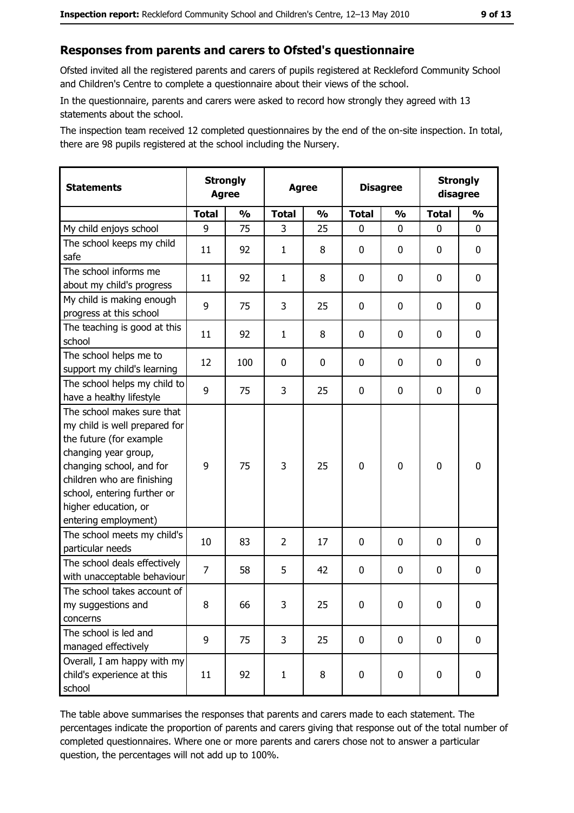# Responses from parents and carers to Ofsted's questionnaire

Ofsted invited all the registered parents and carers of pupils registered at Reckleford Community School and Children's Centre to complete a questionnaire about their views of the school.

In the questionnaire, parents and carers were asked to record how strongly they agreed with 13 statements about the school.

The inspection team received 12 completed questionnaires by the end of the on-site inspection. In total, there are 98 pupils registered at the school including the Nursery.

| <b>Statements</b>                                                                                                                                                                                                                                       | <b>Strongly</b><br><b>Agree</b> |               | <b>Agree</b> |               | <b>Disagree</b> |               | <b>Strongly</b><br>disagree |               |
|---------------------------------------------------------------------------------------------------------------------------------------------------------------------------------------------------------------------------------------------------------|---------------------------------|---------------|--------------|---------------|-----------------|---------------|-----------------------------|---------------|
|                                                                                                                                                                                                                                                         | <b>Total</b>                    | $\frac{1}{2}$ | <b>Total</b> | $\frac{0}{0}$ | <b>Total</b>    | $\frac{0}{0}$ | <b>Total</b>                | $\frac{1}{2}$ |
| My child enjoys school                                                                                                                                                                                                                                  | 9                               | 75            | 3            | 25            | 0               | 0             | 0                           | 0             |
| The school keeps my child<br>safe                                                                                                                                                                                                                       | 11                              | 92            | $\mathbf{1}$ | 8             | $\mathbf 0$     | 0             | 0                           | 0             |
| The school informs me<br>about my child's progress                                                                                                                                                                                                      | 11                              | 92            | 1            | 8             | $\mathbf 0$     | 0             | $\mathbf{0}$                | 0             |
| My child is making enough<br>progress at this school                                                                                                                                                                                                    | 9                               | 75            | 3            | 25            | $\mathbf 0$     | 0             | 0                           | 0             |
| The teaching is good at this<br>school                                                                                                                                                                                                                  | 11                              | 92            | $\mathbf{1}$ | 8             | $\mathbf 0$     | 0             | 0                           | 0             |
| The school helps me to<br>support my child's learning                                                                                                                                                                                                   | 12                              | 100           | 0            | $\bf{0}$      | $\mathbf 0$     | 0             | 0                           | 0             |
| The school helps my child to<br>have a healthy lifestyle                                                                                                                                                                                                | 9                               | 75            | 3            | 25            | $\mathbf 0$     | 0             | 0                           | 0             |
| The school makes sure that<br>my child is well prepared for<br>the future (for example<br>changing year group,<br>changing school, and for<br>children who are finishing<br>school, entering further or<br>higher education, or<br>entering employment) | 9                               | 75            | 3            | 25            | $\mathbf 0$     | 0             | $\mathbf 0$                 | 0             |
| The school meets my child's<br>particular needs                                                                                                                                                                                                         | 10                              | 83            | 2            | 17            | $\mathbf 0$     | 0             | 0                           | 0             |
| The school deals effectively<br>with unacceptable behaviour                                                                                                                                                                                             | $\overline{7}$                  | 58            | 5            | 42            | $\mathbf 0$     | 0             | 0                           | 0             |
| The school takes account of<br>my suggestions and<br>concerns                                                                                                                                                                                           | 8                               | 66            | 3            | 25            | $\mathbf 0$     | 0             | 0                           | 0             |
| The school is led and<br>managed effectively                                                                                                                                                                                                            | 9                               | 75            | 3            | 25            | $\mathbf 0$     | 0             | 0                           | $\mathbf 0$   |
| Overall, I am happy with my<br>child's experience at this<br>school                                                                                                                                                                                     | 11                              | 92            | $\mathbf{1}$ | 8             | $\mathbf 0$     | 0             | $\mathbf 0$                 | 0             |

The table above summarises the responses that parents and carers made to each statement. The percentages indicate the proportion of parents and carers giving that response out of the total number of completed questionnaires. Where one or more parents and carers chose not to answer a particular question, the percentages will not add up to 100%.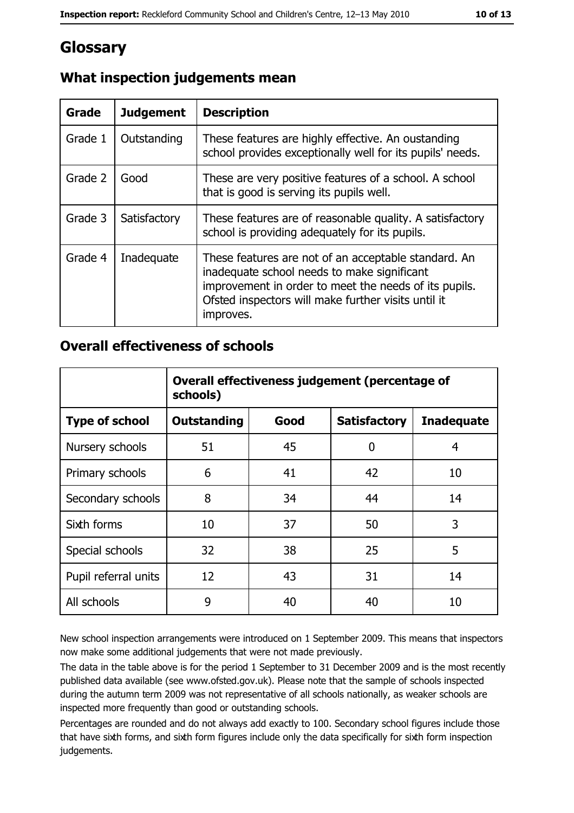# Glossary

| Grade   | <b>Judgement</b> | <b>Description</b>                                                                                                                                                                                                               |
|---------|------------------|----------------------------------------------------------------------------------------------------------------------------------------------------------------------------------------------------------------------------------|
| Grade 1 | Outstanding      | These features are highly effective. An oustanding<br>school provides exceptionally well for its pupils' needs.                                                                                                                  |
| Grade 2 | Good             | These are very positive features of a school. A school<br>that is good is serving its pupils well.                                                                                                                               |
| Grade 3 | Satisfactory     | These features are of reasonable quality. A satisfactory<br>school is providing adequately for its pupils.                                                                                                                       |
| Grade 4 | Inadequate       | These features are not of an acceptable standard. An<br>inadequate school needs to make significant<br>improvement in order to meet the needs of its pupils.<br>Ofsted inspectors will make further visits until it<br>improves. |

# What inspection judgements mean

## **Overall effectiveness of schools**

|                       | Overall effectiveness judgement (percentage of<br>schools) |      |                     |                   |
|-----------------------|------------------------------------------------------------|------|---------------------|-------------------|
| <b>Type of school</b> | <b>Outstanding</b>                                         | Good | <b>Satisfactory</b> | <b>Inadequate</b> |
| Nursery schools       | 51                                                         | 45   | 0                   | 4                 |
| Primary schools       | 6                                                          | 41   | 42                  | 10                |
| Secondary schools     | 8                                                          | 34   | 44                  | 14                |
| Sixth forms           | 10                                                         | 37   | 50                  | 3                 |
| Special schools       | 32                                                         | 38   | 25                  | 5                 |
| Pupil referral units  | 12                                                         | 43   | 31                  | 14                |
| All schools           | 9                                                          | 40   | 40                  | 10                |

New school inspection arrangements were introduced on 1 September 2009. This means that inspectors now make some additional judgements that were not made previously.

The data in the table above is for the period 1 September to 31 December 2009 and is the most recently published data available (see www.ofsted.gov.uk). Please note that the sample of schools inspected during the autumn term 2009 was not representative of all schools nationally, as weaker schools are inspected more frequently than good or outstanding schools.

Percentages are rounded and do not always add exactly to 100. Secondary school figures include those that have sixth forms, and sixth form figures include only the data specifically for sixth form inspection judgements.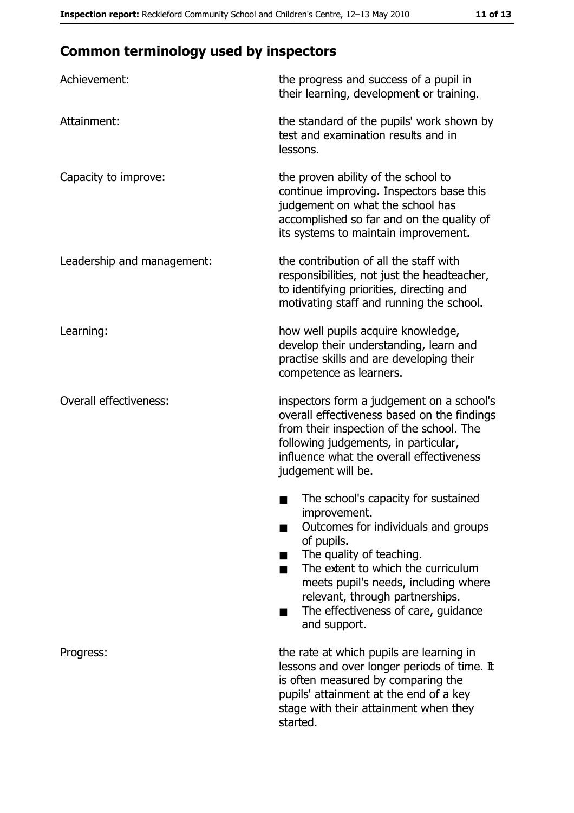# **Common terminology used by inspectors**

| Achievement:                  | the progress and success of a pupil in<br>their learning, development or training.                                                                                                                                                                                                                           |
|-------------------------------|--------------------------------------------------------------------------------------------------------------------------------------------------------------------------------------------------------------------------------------------------------------------------------------------------------------|
| Attainment:                   | the standard of the pupils' work shown by<br>test and examination results and in<br>lessons.                                                                                                                                                                                                                 |
| Capacity to improve:          | the proven ability of the school to<br>continue improving. Inspectors base this<br>judgement on what the school has<br>accomplished so far and on the quality of<br>its systems to maintain improvement.                                                                                                     |
| Leadership and management:    | the contribution of all the staff with<br>responsibilities, not just the headteacher,<br>to identifying priorities, directing and<br>motivating staff and running the school.                                                                                                                                |
| Learning:                     | how well pupils acquire knowledge,<br>develop their understanding, learn and<br>practise skills and are developing their<br>competence as learners.                                                                                                                                                          |
| <b>Overall effectiveness:</b> | inspectors form a judgement on a school's<br>overall effectiveness based on the findings<br>from their inspection of the school. The<br>following judgements, in particular,<br>influence what the overall effectiveness<br>judgement will be.                                                               |
|                               | The school's capacity for sustained<br>improvement.<br>Outcomes for individuals and groups<br>of pupils.<br>The quality of teaching.<br>The extent to which the curriculum<br>meets pupil's needs, including where<br>relevant, through partnerships.<br>The effectiveness of care, guidance<br>and support. |
| Progress:                     | the rate at which pupils are learning in<br>lessons and over longer periods of time. It<br>is often measured by comparing the<br>pupils' attainment at the end of a key<br>stage with their attainment when they<br>started.                                                                                 |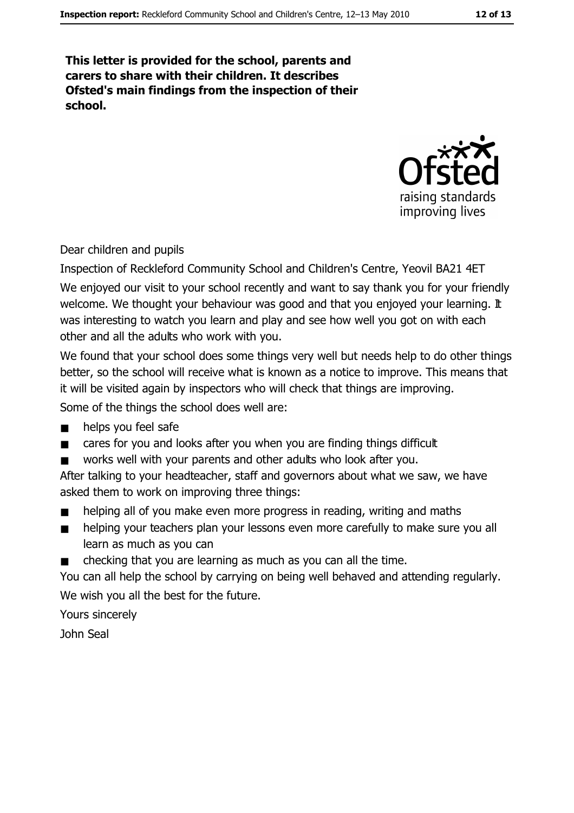This letter is provided for the school, parents and carers to share with their children. It describes Ofsted's main findings from the inspection of their school.



Dear children and pupils

Inspection of Reckleford Community School and Children's Centre, Yeovil BA21 4ET We enjoyed our visit to your school recently and want to say thank you for your friendly welcome. We thought your behaviour was good and that you enjoyed your learning. It was interesting to watch you learn and play and see how well you got on with each other and all the adults who work with you.

We found that your school does some things very well but needs help to do other things better, so the school will receive what is known as a notice to improve. This means that it will be visited again by inspectors who will check that things are improving.

Some of the things the school does well are:

- $\blacksquare$ helps you feel safe
- cares for you and looks after you when you are finding things difficult  $\blacksquare$
- works well with your parents and other adults who look after you.  $\blacksquare$

After talking to your headteacher, staff and governors about what we saw, we have asked them to work on improving three things:

- helping all of you make even more progress in reading, writing and maths
- helping your teachers plan your lessons even more carefully to make sure you all  $\blacksquare$ learn as much as you can
- checking that you are learning as much as you can all the time.  $\blacksquare$

You can all help the school by carrying on being well behaved and attending regularly. We wish you all the best for the future.

Yours sincerely John Seal